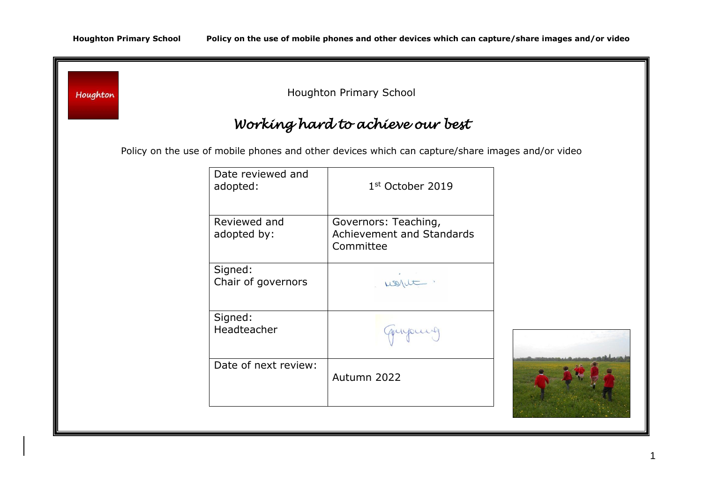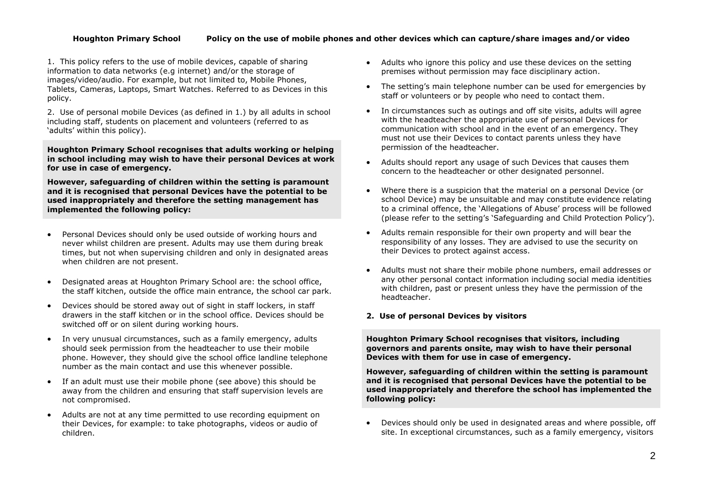# **Houghton Primary School Policy on the use of mobile phones and other devices which can capture/share images and/or video**

1. This policy refers to the use of mobile devices, capable of sharing information to data networks (e.g internet) and/or the storage of images/video/audio. For example, but not limited to, Mobile Phones, Tablets, Cameras, Laptops, Smart Watches. Referred to as Devices in this policy.

2. Use of personal mobile Devices (as defined in 1.) by all adults in school including staff, students on placement and volunteers (referred to as 'adults' within this policy).

**Houghton Primary School recognises that adults working or helping in school including may wish to have their personal Devices at work for use in case of emergency.** 

**However, safeguarding of children within the setting is paramount and it is recognised that personal Devices have the potential to be used inappropriately and therefore the setting management has implemented the following policy:**

- Personal Devices should only be used outside of working hours and never whilst children are present. Adults may use them during break times, but not when supervising children and only in designated areas when children are not present.
- Designated areas at Houghton Primary School are: the school office, the staff kitchen, outside the office main entrance, the school car park.
- Devices should be stored away out of sight in staff lockers, in staff drawers in the staff kitchen or in the school office. Devices should be switched off or on silent during working hours.
- In very unusual circumstances, such as a family emergency, adults should seek permission from the headteacher to use their mobile phone. However, they should give the school office landline telephone number as the main contact and use this whenever possible.
- If an adult must use their mobile phone (see above) this should be away from the children and ensuring that staff supervision levels are not compromised.
- Adults are not at any time permitted to use recording equipment on their Devices, for example: to take photographs, videos or audio of children.
- Adults who ignore this policy and use these devices on the setting premises without permission may face disciplinary action.
- The setting's main telephone number can be used for emergencies by staff or volunteers or by people who need to contact them.
- In circumstances such as outings and off site visits, adults will agree with the headteacher the appropriate use of personal Devices for communication with school and in the event of an emergency. They must not use their Devices to contact parents unless they have permission of the headteacher.
- Adults should report any usage of such Devices that causes them concern to the headteacher or other designated personnel.
- Where there is a suspicion that the material on a personal Device (or school Device) may be unsuitable and may constitute evidence relating to a criminal offence, the 'Allegations of Abuse' process will be followed (please refer to the setting's 'Safeguarding and Child Protection Policy').
- Adults remain responsible for their own property and will bear the responsibility of any losses. They are advised to use the security on their Devices to protect against access.
- Adults must not share their mobile phone numbers, email addresses or any other personal contact information including social media identities with children, past or present unless they have the permission of the headteacher.

# **2. Use of personal Devices by visitors**

**Houghton Primary School recognises that visitors, including governors and parents onsite, may wish to have their personal Devices with them for use in case of emergency.** 

**However, safeguarding of children within the setting is paramount and it is recognised that personal Devices have the potential to be used inappropriately and therefore the school has implemented the following policy:**

 Devices should only be used in designated areas and where possible, off site. In exceptional circumstances, such as a family emergency, visitors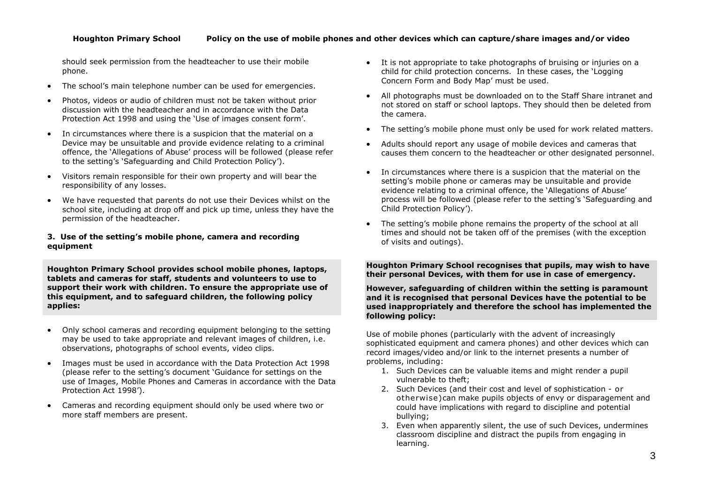should seek permission from the headteacher to use their mobile phone.

- The school's main telephone number can be used for emergencies.
- Photos, videos or audio of children must not be taken without prior discussion with the headteacher and in accordance with the Data Protection Act 1998 and using the 'Use of images consent form'.
- In circumstances where there is a suspicion that the material on a Device may be unsuitable and provide evidence relating to a criminal offence, the 'Allegations of Abuse' process will be followed (please refer to the setting's 'Safeguarding and Child Protection Policy').
- Visitors remain responsible for their own property and will bear the responsibility of any losses.
- We have requested that parents do not use their Devices whilst on the school site, including at drop off and pick up time, unless they have the permission of the headteacher.

# **3. Use of the setting's mobile phone, camera and recording equipment**

**Houghton Primary School provides school mobile phones, laptops, tablets and cameras for staff, students and volunteers to use to support their work with children. To ensure the appropriate use of this equipment, and to safeguard children, the following policy applies:**

- Only school cameras and recording equipment belonging to the setting may be used to take appropriate and relevant images of children, i.e. observations, photographs of school events, video clips.
- Images must be used in accordance with the Data Protection Act 1998 (please refer to the setting's document 'Guidance for settings on the use of Images, Mobile Phones and Cameras in accordance with the Data Protection Act 1998').
- Cameras and recording equipment should only be used where two or more staff members are present.
- It is not appropriate to take photographs of bruising or injuries on a child for child protection concerns. In these cases, the 'Logging Concern Form and Body Map' must be used.
- All photographs must be downloaded on to the Staff Share intranet and not stored on staff or school laptops. They should then be deleted from the camera.
- The setting's mobile phone must only be used for work related matters.
- Adults should report any usage of mobile devices and cameras that causes them concern to the headteacher or other designated personnel.
- In circumstances where there is a suspicion that the material on the setting's mobile phone or cameras may be unsuitable and provide evidence relating to a criminal offence, the 'Allegations of Abuse' process will be followed (please refer to the setting's 'Safeguarding and Child Protection Policy').
- The setting's mobile phone remains the property of the school at all times and should not be taken off of the premises (with the exception of visits and outings).

**Houghton Primary School recognises that pupils, may wish to have their personal Devices, with them for use in case of emergency.** 

**However, safeguarding of children within the setting is paramount and it is recognised that personal Devices have the potential to be used inappropriately and therefore the school has implemented the following policy:**

Use of mobile phones (particularly with the advent of increasingly sophisticated equipment and camera phones) and other devices which can record images/video and/or link to the internet presents a number of problems, including:

- 1. Such Devices can be valuable items and might render a pupil vulnerable to theft;
- 2. Such Devices (and their cost and level of sophistication or otherwise)can make pupils objects of envy or disparagement and could have implications with regard to discipline and potential bullying;
- 3. Even when apparently silent, the use of such Devices, undermines classroom discipline and distract the pupils from engaging in learning.